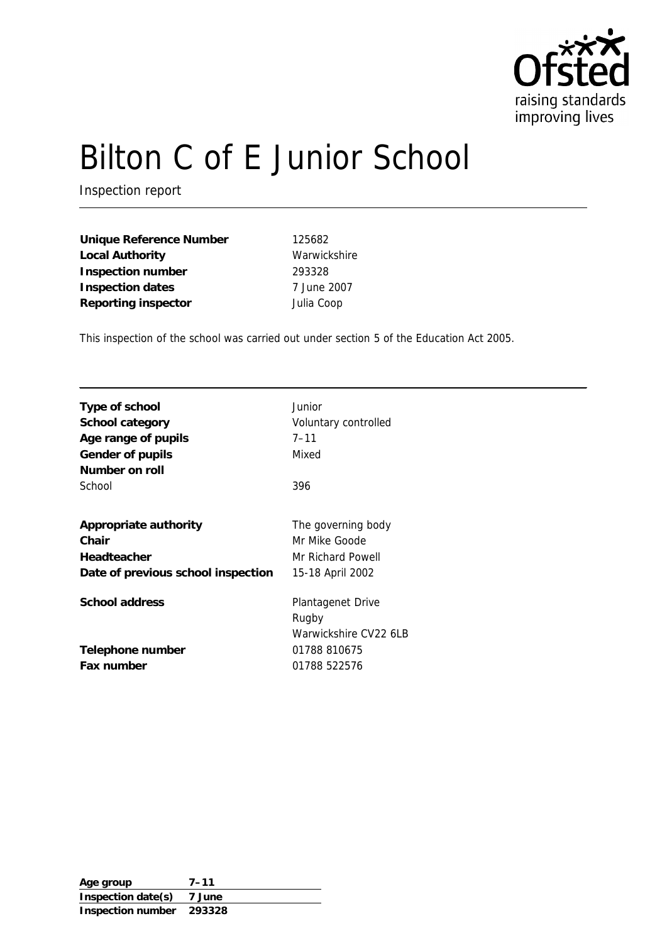

# Bilton C of E Junior School

Inspection report

**Unique Reference Number** 125682 Local Authority **Warwickshire Inspection number** 293328 **Inspection dates** 7 June 2007 **Reporting inspector** Julia Coop

This inspection of the school was carried out under section 5 of the Education Act 2005.

| Type of school<br>School category<br>Age range of pupils<br>Gender of pupils<br>Number on roll | Junior<br>Voluntary controlled<br>$7 - 11$<br>Mixed |
|------------------------------------------------------------------------------------------------|-----------------------------------------------------|
| School                                                                                         | 396                                                 |
|                                                                                                |                                                     |
| Appropriate authority                                                                          | The governing body                                  |
| Chair                                                                                          | Mr Mike Goode                                       |
| Headteacher                                                                                    | Mr Richard Powell                                   |
| Date of previous school inspection                                                             | 15-18 April 2002                                    |
|                                                                                                |                                                     |
| School address                                                                                 | Plantagenet Drive                                   |
|                                                                                                | Rugby                                               |
|                                                                                                | Warwickshire CV22 6LB                               |
| Telephone number                                                                               | 01788 810675                                        |
| Fax number                                                                                     | 01788 522576                                        |
|                                                                                                |                                                     |

**Age group 7–11 Inspection date(s) 7 June Inspection number 293328**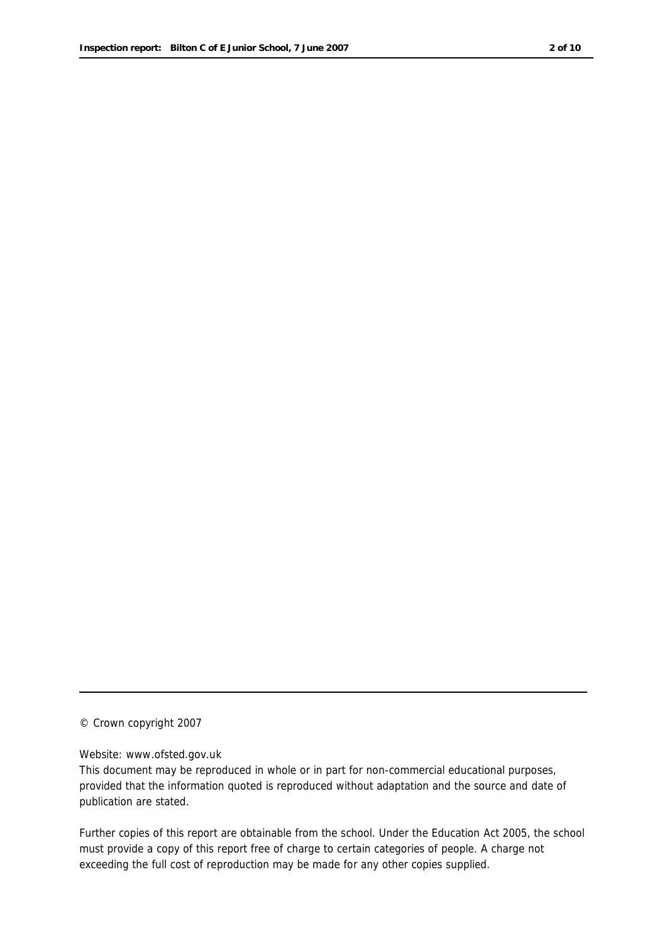© Crown copyright 2007

#### Website: www.ofsted.gov.uk

This document may be reproduced in whole or in part for non-commercial educational purposes, provided that the information quoted is reproduced without adaptation and the source and date of publication are stated.

Further copies of this report are obtainable from the school. Under the Education Act 2005, the school must provide a copy of this report free of charge to certain categories of people. A charge not exceeding the full cost of reproduction may be made for any other copies supplied.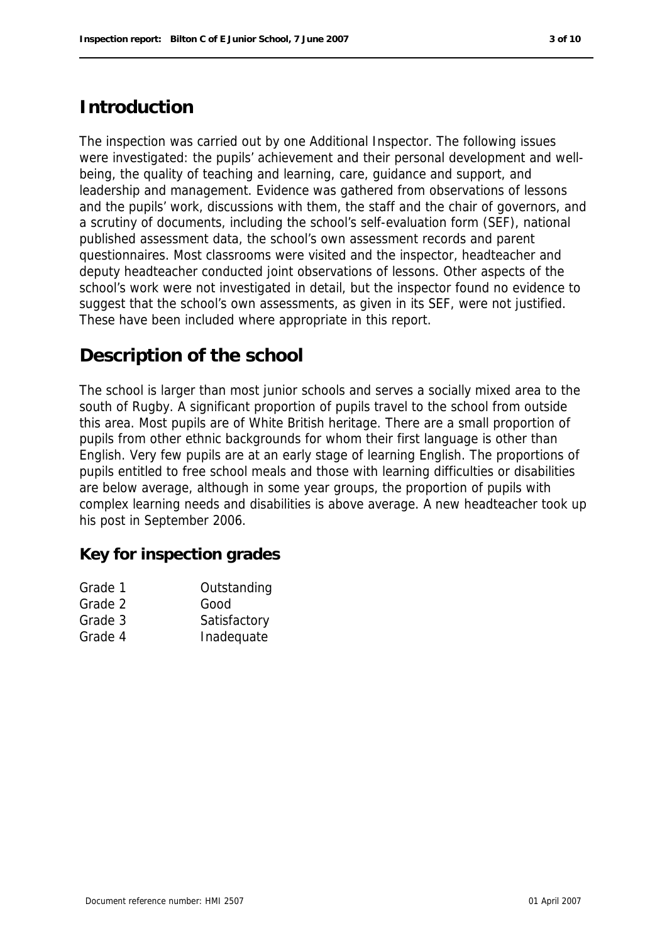## **Introduction**

The inspection was carried out by one Additional Inspector. The following issues were investigated: the pupils' achievement and their personal development and wellbeing, the quality of teaching and learning, care, guidance and support, and leadership and management. Evidence was gathered from observations of lessons and the pupils' work, discussions with them, the staff and the chair of governors, and a scrutiny of documents, including the school's self-evaluation form (SEF), national published assessment data, the school's own assessment records and parent questionnaires. Most classrooms were visited and the inspector, headteacher and deputy headteacher conducted joint observations of lessons. Other aspects of the school's work were not investigated in detail, but the inspector found no evidence to suggest that the school's own assessments, as given in its SEF, were not justified. These have been included where appropriate in this report.

## **Description of the school**

The school is larger than most junior schools and serves a socially mixed area to the south of Rugby. A significant proportion of pupils travel to the school from outside this area. Most pupils are of White British heritage. There are a small proportion of pupils from other ethnic backgrounds for whom their first language is other than English. Very few pupils are at an early stage of learning English. The proportions of pupils entitled to free school meals and those with learning difficulties or disabilities are below average, although in some year groups, the proportion of pupils with complex learning needs and disabilities is above average. A new headteacher took up his post in September 2006.

**Key for inspection grades**

| Grade 1 | Outstanding  |
|---------|--------------|
| Grade 2 | Good         |
| Grade 3 | Satisfactory |
| Grade 4 | Inadequate   |
|         |              |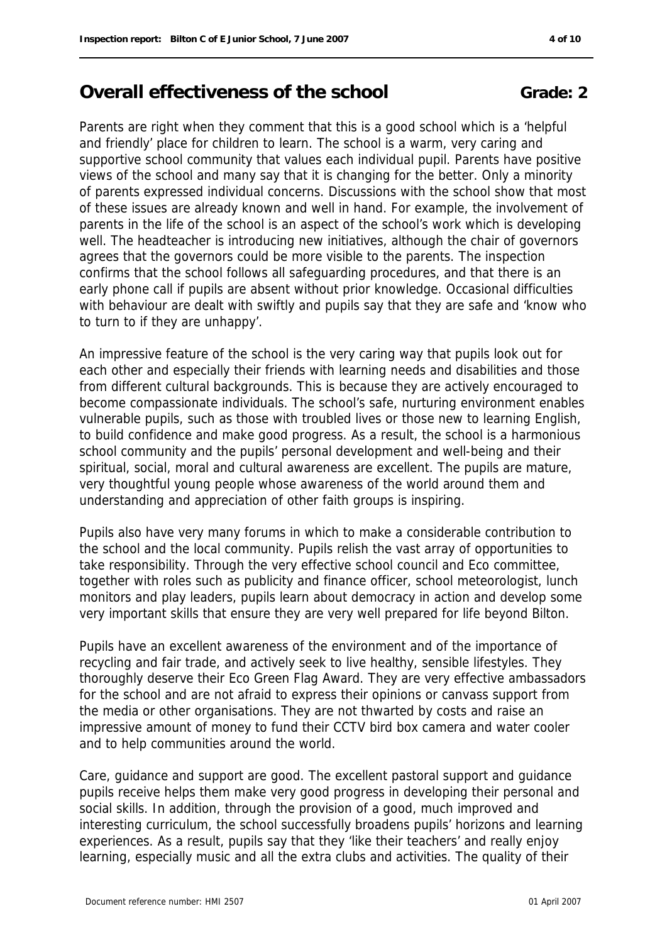# **Overall effectiveness of the school <b>Grade:** 2

Parents are right when they comment that this is a good school which is a 'helpful and friendly' place for children to learn. The school is a warm, very caring and supportive school community that values each individual pupil. Parents have positive views of the school and many say that it is changing for the better. Only a minority of parents expressed individual concerns. Discussions with the school show that most of these issues are already known and well in hand. For example, the involvement of parents in the life of the school is an aspect of the school's work which is developing well. The headteacher is introducing new initiatives, although the chair of governors agrees that the governors could be more visible to the parents. The inspection confirms that the school follows all safeguarding procedures, and that there is an early phone call if pupils are absent without prior knowledge. Occasional difficulties with behaviour are dealt with swiftly and pupils say that they are safe and 'know who to turn to if they are unhappy'.

An impressive feature of the school is the very caring way that pupils look out for each other and especially their friends with learning needs and disabilities and those from different cultural backgrounds. This is because they are actively encouraged to become compassionate individuals. The school's safe, nurturing environment enables vulnerable pupils, such as those with troubled lives or those new to learning English, to build confidence and make good progress. As a result, the school is a harmonious school community and the pupils' personal development and well-being and their spiritual, social, moral and cultural awareness are excellent. The pupils are mature, very thoughtful young people whose awareness of the world around them and understanding and appreciation of other faith groups is inspiring.

Pupils also have very many forums in which to make a considerable contribution to the school and the local community. Pupils relish the vast array of opportunities to take responsibility. Through the very effective school council and Eco committee, together with roles such as publicity and finance officer, school meteorologist, lunch monitors and play leaders, pupils learn about democracy in action and develop some very important skills that ensure they are very well prepared for life beyond Bilton.

Pupils have an excellent awareness of the environment and of the importance of recycling and fair trade, and actively seek to live healthy, sensible lifestyles. They thoroughly deserve their Eco Green Flag Award. They are very effective ambassadors for the school and are not afraid to express their opinions or canvass support from the media or other organisations. They are not thwarted by costs and raise an impressive amount of money to fund their CCTV bird box camera and water cooler and to help communities around the world.

Care, guidance and support are good. The excellent pastoral support and guidance pupils receive helps them make very good progress in developing their personal and social skills. In addition, through the provision of a good, much improved and interesting curriculum, the school successfully broadens pupils' horizons and learning experiences. As a result, pupils say that they 'like their teachers' and really enjoy learning, especially music and all the extra clubs and activities. The quality of their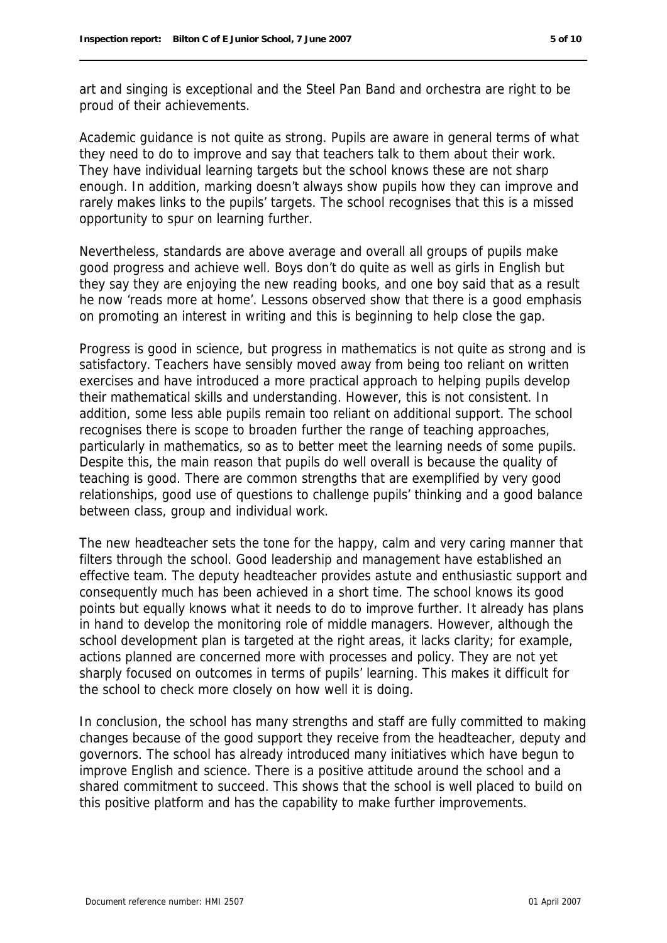art and singing is exceptional and the Steel Pan Band and orchestra are right to be proud of their achievements.

Academic guidance is not quite as strong. Pupils are aware in general terms of what they need to do to improve and say that teachers talk to them about their work. They have individual learning targets but the school knows these are not sharp enough. In addition, marking doesn't always show pupils how they can improve and rarely makes links to the pupils' targets. The school recognises that this is a missed opportunity to spur on learning further.

Nevertheless, standards are above average and overall all groups of pupils make good progress and achieve well. Boys don't do quite as well as girls in English but they say they are enjoying the new reading books, and one boy said that as a result he now 'reads more at home'. Lessons observed show that there is a good emphasis on promoting an interest in writing and this is beginning to help close the gap.

Progress is good in science, but progress in mathematics is not quite as strong and is satisfactory. Teachers have sensibly moved away from being too reliant on written exercises and have introduced a more practical approach to helping pupils develop their mathematical skills and understanding. However, this is not consistent. In addition, some less able pupils remain too reliant on additional support. The school recognises there is scope to broaden further the range of teaching approaches, particularly in mathematics, so as to better meet the learning needs of some pupils. Despite this, the main reason that pupils do well overall is because the quality of teaching is good. There are common strengths that are exemplified by very good relationships, good use of questions to challenge pupils' thinking and a good balance between class, group and individual work.

The new headteacher sets the tone for the happy, calm and very caring manner that filters through the school. Good leadership and management have established an effective team. The deputy headteacher provides astute and enthusiastic support and consequently much has been achieved in a short time. The school knows its good points but equally knows what it needs to do to improve further. It already has plans in hand to develop the monitoring role of middle managers. However, although the school development plan is targeted at the right areas, it lacks clarity; for example, actions planned are concerned more with processes and policy. They are not yet sharply focused on outcomes in terms of pupils' learning. This makes it difficult for the school to check more closely on how well it is doing.

In conclusion, the school has many strengths and staff are fully committed to making changes because of the good support they receive from the headteacher, deputy and governors. The school has already introduced many initiatives which have begun to improve English and science. There is a positive attitude around the school and a shared commitment to succeed. This shows that the school is well placed to build on this positive platform and has the capability to make further improvements.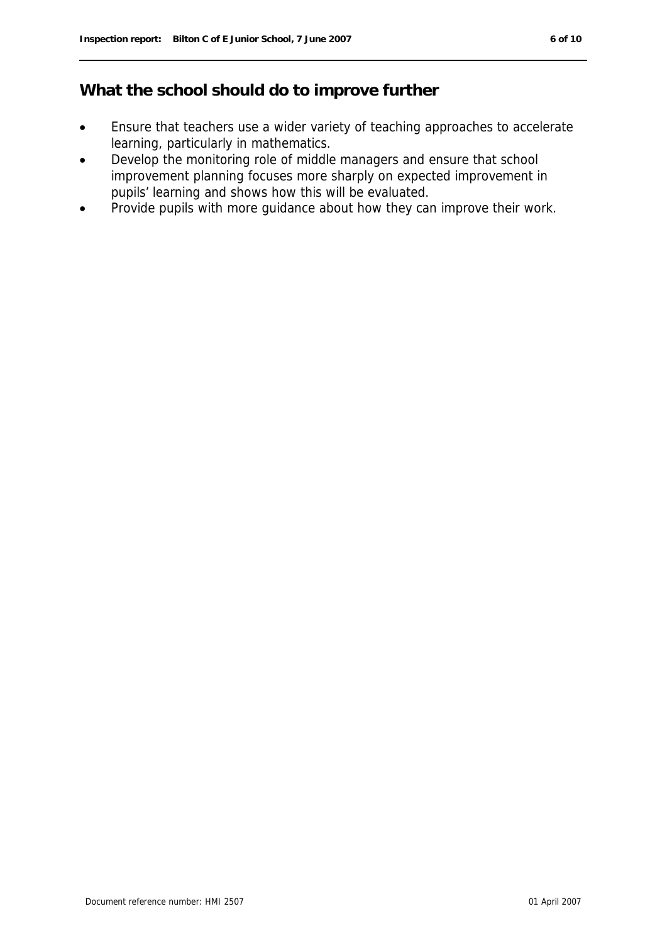## **What the school should do to improve further**

- Ensure that teachers use a wider variety of teaching approaches to accelerate learning, particularly in mathematics.
- Develop the monitoring role of middle managers and ensure that school improvement planning focuses more sharply on expected improvement in pupils' learning and shows how this will be evaluated.
- Provide pupils with more guidance about how they can improve their work.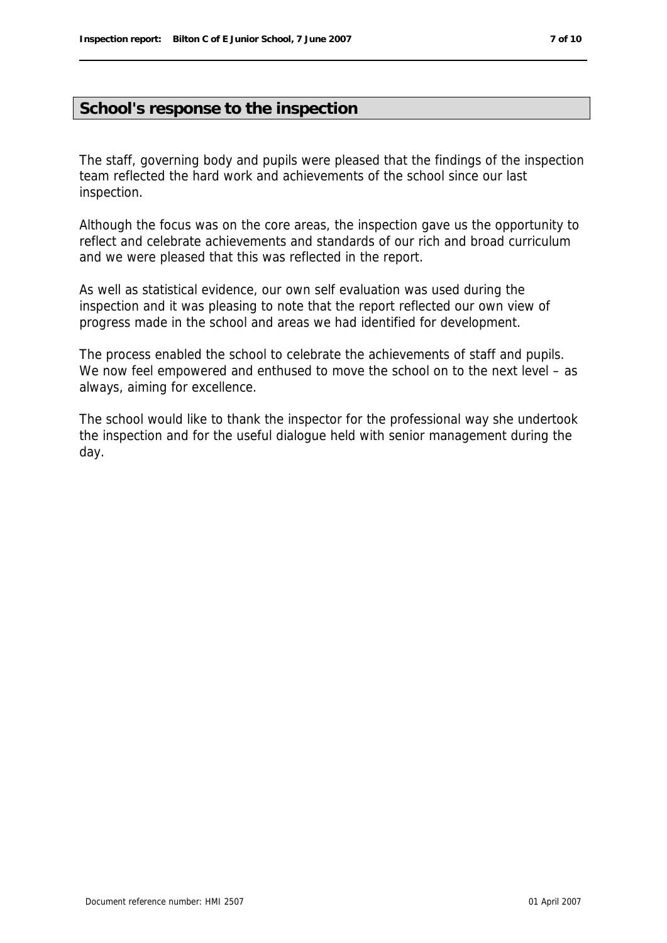### **School's response to the inspection**

The staff, governing body and pupils were pleased that the findings of the inspection team reflected the hard work and achievements of the school since our last inspection.

Although the focus was on the core areas, the inspection gave us the opportunity to reflect and celebrate achievements and standards of our rich and broad curriculum and we were pleased that this was reflected in the report.

As well as statistical evidence, our own self evaluation was used during the inspection and it was pleasing to note that the report reflected our own view of progress made in the school and areas we had identified for development.

The process enabled the school to celebrate the achievements of staff and pupils. We now feel empowered and enthused to move the school on to the next level – as always, aiming for excellence.

The school would like to thank the inspector for the professional way she undertook the inspection and for the useful dialogue held with senior management during the day.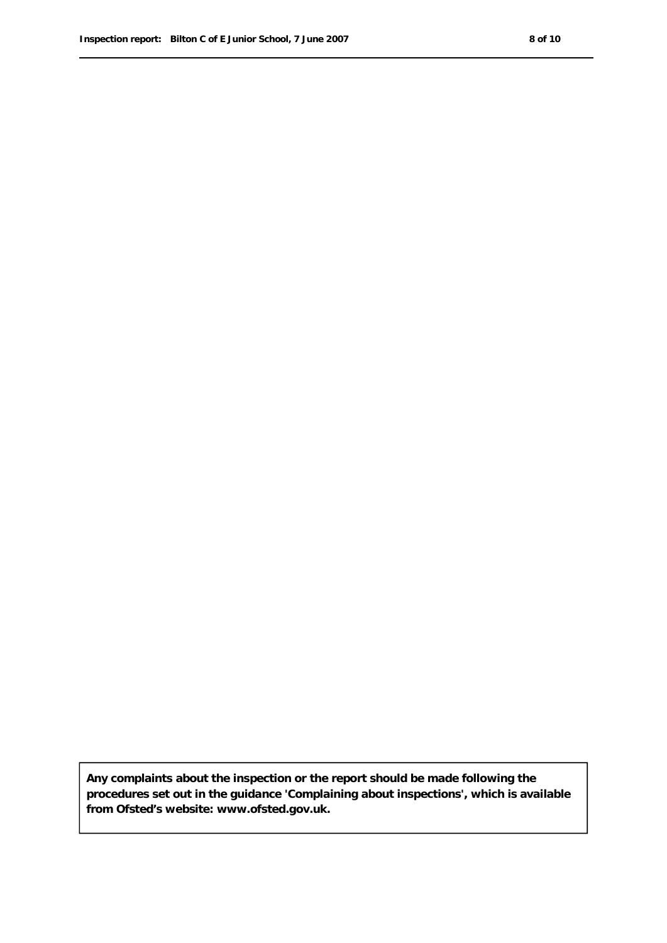**Any complaints about the inspection or the report should be made following the procedures set out in the guidance 'Complaining about inspections', which is available from Ofsted's website: www.ofsted.gov.uk.**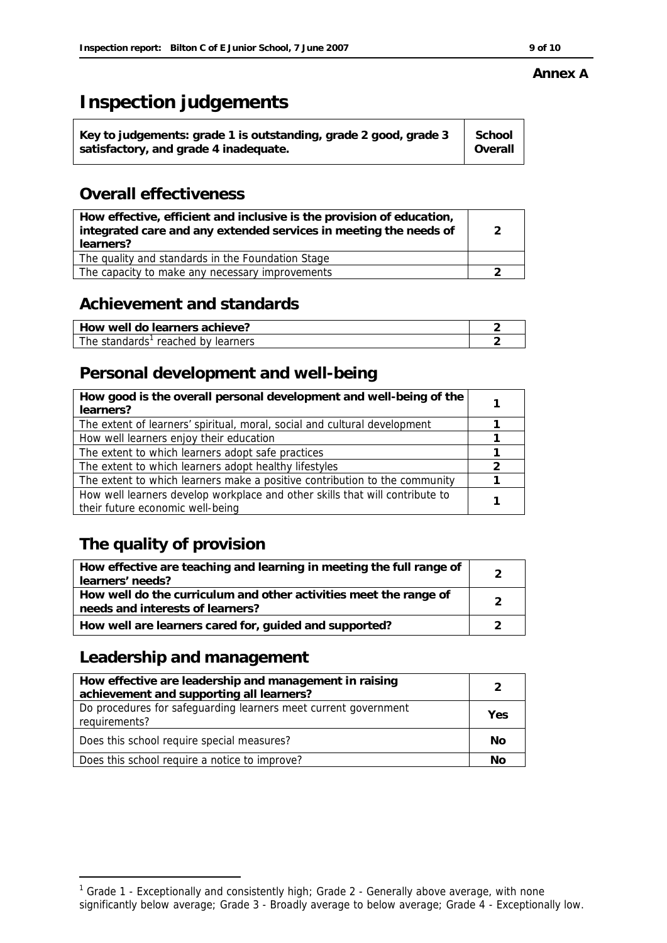#### **Annex A**

# **Inspection judgements**

| Key to judgements: grade 1 is outstanding, grade 2 good, grade 3 | School  |
|------------------------------------------------------------------|---------|
| satisfactory, and grade 4 inadequate.                            | Overall |

## **Overall effectiveness**

| How effective, efficient and inclusive is the provision of education,<br>integrated care and any extended services in meeting the needs of<br>learners? |  |
|---------------------------------------------------------------------------------------------------------------------------------------------------------|--|
| The quality and standards in the Foundation Stage                                                                                                       |  |
| The capacity to make any necessary improvements                                                                                                         |  |

## **Achievement and standards**

| How well do learners achieve?      |  |
|------------------------------------|--|
| The standards' reached by learners |  |

## **Personal development and well-being**

| How good is the overall personal development and well-being of the<br>learners? |  |
|---------------------------------------------------------------------------------|--|
| The extent of learners' spiritual, moral, social and cultural development       |  |
| How well learners enjoy their education                                         |  |
| The extent to which learners adopt safe practices                               |  |
| The extent to which learners adopt healthy lifestyles                           |  |
| The extent to which learners make a positive contribution to the community      |  |
| How well learners develop workplace and other skills that will contribute to    |  |
| their future economic well-being                                                |  |

# **The quality of provision**

| How effective are teaching and learning in meeting the full range of<br>learners' needs?              |  |
|-------------------------------------------------------------------------------------------------------|--|
| How well do the curriculum and other activities meet the range of<br>needs and interests of learners? |  |
| How well are learners cared for, guided and supported?                                                |  |

## **Leadership and management**

-

| How effective are leadership and management in raising<br>achievement and supporting all learners? | っ   |  |
|----------------------------------------------------------------------------------------------------|-----|--|
| Do procedures for safeguarding learners meet current government                                    |     |  |
| requirements?                                                                                      | Yes |  |
| Does this school require special measures?                                                         | No  |  |
| Does this school require a notice to improve?                                                      | No  |  |

<sup>&</sup>lt;sup>1</sup> Grade 1 - Exceptionally and consistently high; Grade 2 - Generally above average, with none significantly below average; Grade 3 - Broadly average to below average; Grade 4 - Exceptionally low.